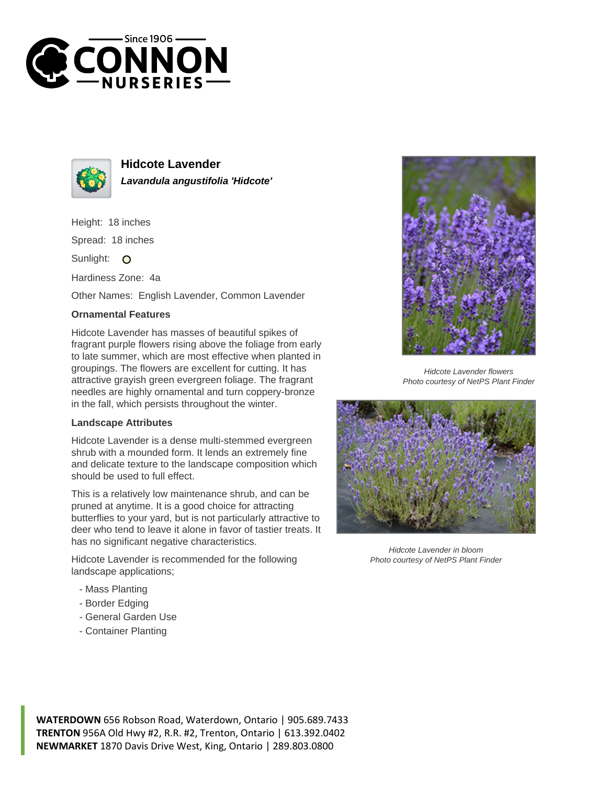



**Hidcote Lavender Lavandula angustifolia 'Hidcote'**

Height: 18 inches

Spread: 18 inches

Sunlight: O

Hardiness Zone: 4a

Other Names: English Lavender, Common Lavender

## **Ornamental Features**

Hidcote Lavender has masses of beautiful spikes of fragrant purple flowers rising above the foliage from early to late summer, which are most effective when planted in groupings. The flowers are excellent for cutting. It has attractive grayish green evergreen foliage. The fragrant needles are highly ornamental and turn coppery-bronze in the fall, which persists throughout the winter.

## **Landscape Attributes**

Hidcote Lavender is a dense multi-stemmed evergreen shrub with a mounded form. It lends an extremely fine and delicate texture to the landscape composition which should be used to full effect.

This is a relatively low maintenance shrub, and can be pruned at anytime. It is a good choice for attracting butterflies to your yard, but is not particularly attractive to deer who tend to leave it alone in favor of tastier treats. It has no significant negative characteristics.

Hidcote Lavender is recommended for the following landscape applications;

- Mass Planting
- Border Edging
- General Garden Use
- Container Planting



Hidcote Lavender flowers Photo courtesy of NetPS Plant Finder



Hidcote Lavender in bloom Photo courtesy of NetPS Plant Finder

**WATERDOWN** 656 Robson Road, Waterdown, Ontario | 905.689.7433 **TRENTON** 956A Old Hwy #2, R.R. #2, Trenton, Ontario | 613.392.0402 **NEWMARKET** 1870 Davis Drive West, King, Ontario | 289.803.0800